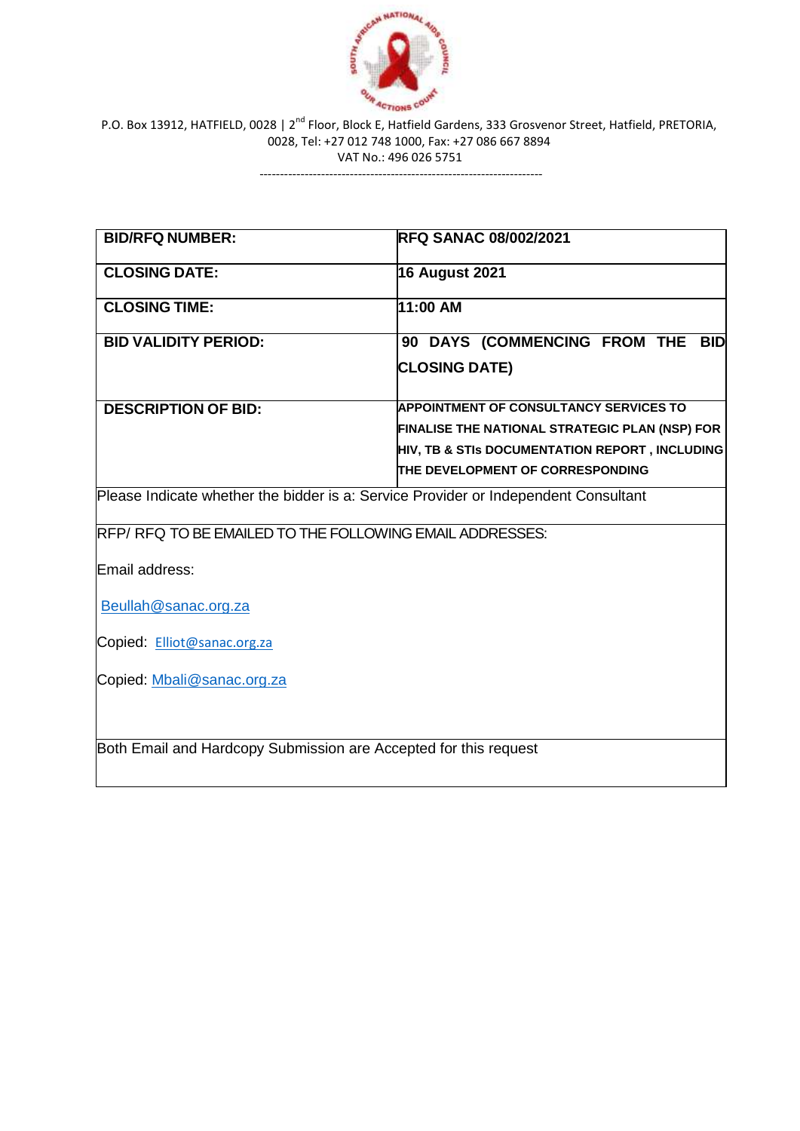

erions cout.<br>P.O. Box 13912, HATFIELD, 0028 | 2<sup>nd</sup> Floor, Block E, Hatfield Gardens, 333 Grosvenor Street, Hatfield, PRETORIA, 0028, Tel: +27 012 748 1000, Fax: +27 086 667 8894 VAT No.: 496 026 5751

---------------------------------------------------------------------

| <b>BID/RFQ NUMBER:</b>                                                              | <b>RFQ SANAC 08/002/2021</b>                   |
|-------------------------------------------------------------------------------------|------------------------------------------------|
| <b>CLOSING DATE:</b>                                                                | <b>16 August 2021</b>                          |
| <b>CLOSING TIME:</b>                                                                | 11:00 AM                                       |
| <b>BID VALIDITY PERIOD:</b>                                                         | 90 DAYS (COMMENCING FROM THE BID               |
|                                                                                     | <b>CLOSING DATE)</b>                           |
| <b>DESCRIPTION OF BID:</b>                                                          | <b>APPOINTMENT OF CONSULTANCY SERVICES TO</b>  |
|                                                                                     | FINALISE THE NATIONAL STRATEGIC PLAN (NSP) FOR |
|                                                                                     | HIV, TB & STIs DOCUMENTATION REPORT, INCLUDING |
|                                                                                     | THE DEVELOPMENT OF CORRESPONDING               |
| Please Indicate whether the bidder is a: Service Provider or Independent Consultant |                                                |
| RFP/RFQ TO BE EMAILED TO THE FOLLOWING EMAIL ADDRESSES:                             |                                                |
| Email address:                                                                      |                                                |
| Beullah@sanac.org.za                                                                |                                                |
| Copied: Elliot@sanac.org.za                                                         |                                                |
| Copied: Mbali@sanac.org.za                                                          |                                                |
| Both Email and Hardcopy Submission are Accepted for this request                    |                                                |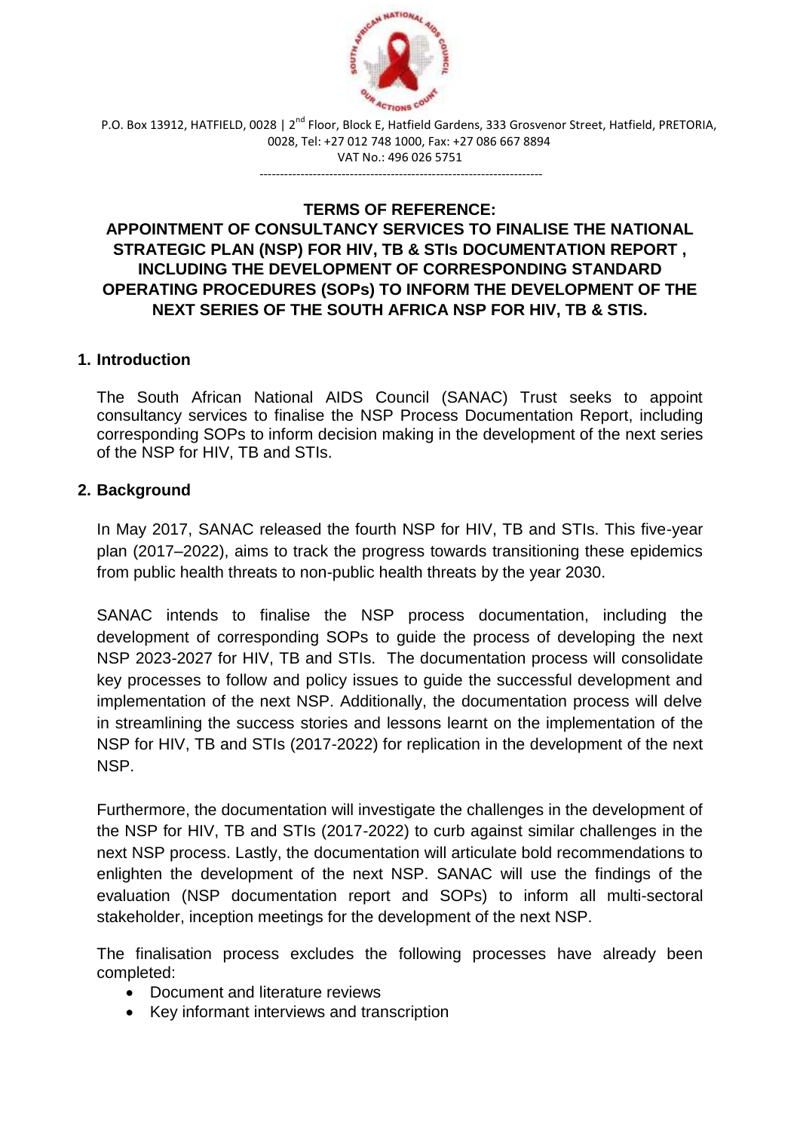

P.O. Box 13912, HATFIELD, 0028 | 2<sup>nd</sup> Floor, Block E, Hatfield Gardens, 333 Grosvenor Street, Hatfield, PRETORIA, 0028, Tel: +27 012 748 1000, Fax: +27 086 667 8894 VAT No.: 496 026 5751

#### **TERMS OF REFERENCE:**

---------------------------------------------------------------------

# **APPOINTMENT OF CONSULTANCY SERVICES TO FINALISE THE NATIONAL STRATEGIC PLAN (NSP) FOR HIV, TB & STIs DOCUMENTATION REPORT , INCLUDING THE DEVELOPMENT OF CORRESPONDING STANDARD OPERATING PROCEDURES (SOPs) TO INFORM THE DEVELOPMENT OF THE NEXT SERIES OF THE SOUTH AFRICA NSP FOR HIV, TB & STIS.**

### **1. Introduction**

The South African National AIDS Council (SANAC) Trust seeks to appoint consultancy services to finalise the NSP Process Documentation Report, including corresponding SOPs to inform decision making in the development of the next series of the NSP for HIV, TB and STIs.

### **2. Background**

In May 2017, SANAC released the fourth NSP for HIV, TB and STIs. This five-year plan (2017–2022), aims to track the progress towards transitioning these epidemics from public health threats to non-public health threats by the year 2030.

SANAC intends to finalise the NSP process documentation, including the development of corresponding SOPs to guide the process of developing the next NSP 2023-2027 for HIV, TB and STIs. The documentation process will consolidate key processes to follow and policy issues to guide the successful development and implementation of the next NSP. Additionally, the documentation process will delve in streamlining the success stories and lessons learnt on the implementation of the NSP for HIV, TB and STIs (2017-2022) for replication in the development of the next NSP.

Furthermore, the documentation will investigate the challenges in the development of the NSP for HIV, TB and STIs (2017-2022) to curb against similar challenges in the next NSP process. Lastly, the documentation will articulate bold recommendations to enlighten the development of the next NSP. SANAC will use the findings of the evaluation (NSP documentation report and SOPs) to inform all multi-sectoral stakeholder, inception meetings for the development of the next NSP.

The finalisation process excludes the following processes have already been completed:

- Document and literature reviews
- Key informant interviews and transcription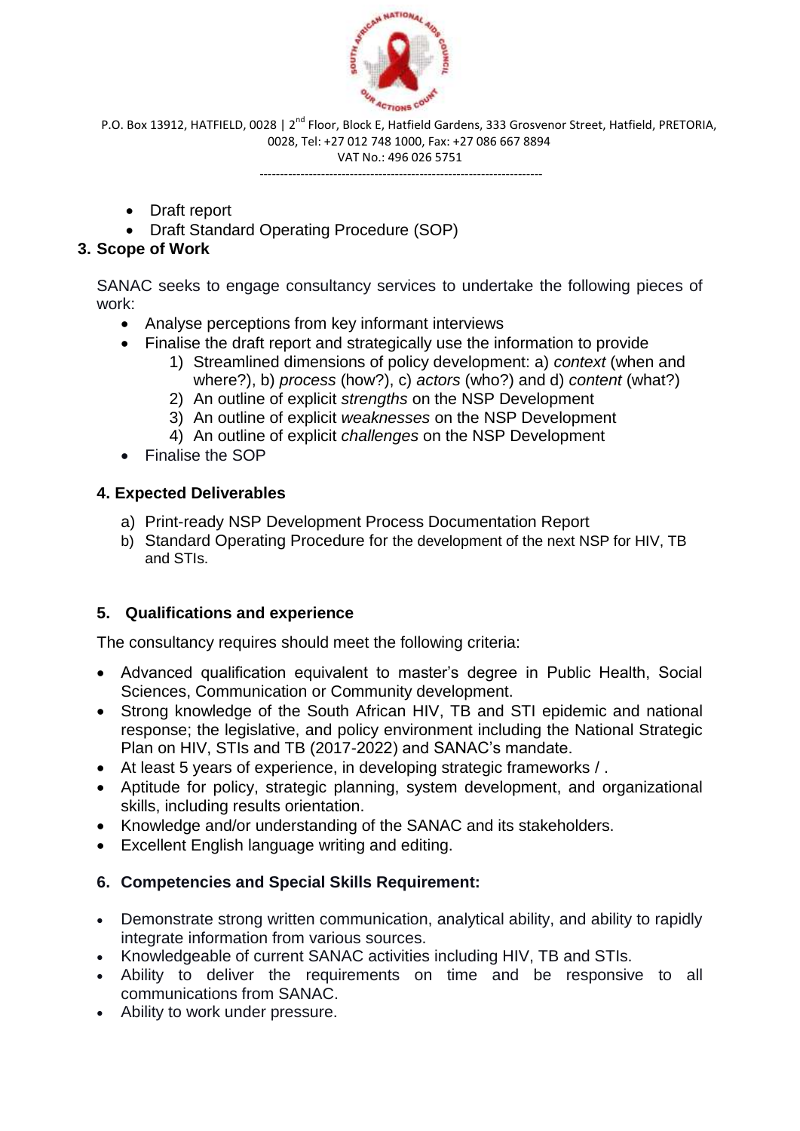

P.O. Box 13912, HATFIELD, 0028 | 2<sup>nd</sup> Floor, Block E, Hatfield Gardens, 333 Grosvenor Street, Hatfield, PRETORIA, 0028, Tel: +27 012 748 1000, Fax: +27 086 667 8894

VAT No.: 496 026 5751 ---------------------------------------------------------------------

- Draft report
- Draft Standard Operating Procedure (SOP)

# **3. Scope of Work**

SANAC seeks to engage consultancy services to undertake the following pieces of work:

- Analyse perceptions from key informant interviews
- Finalise the draft report and strategically use the information to provide
	- 1) Streamlined dimensions of policy development: a) *context* (when and where?), b) *process* (how?), c) *actors* (who?) and d) *content* (what?)
	- 2) An outline of explicit *strengths* on the NSP Development
	- 3) An outline of explicit *weaknesses* on the NSP Development
	- 4) An outline of explicit *challenges* on the NSP Development
- Finalise the SOP

# **4. Expected Deliverables**

- a) Print-ready NSP Development Process Documentation Report
- b) Standard Operating Procedure for the development of the next NSP for HIV, TB and STIs.

# **5. Qualifications and experience**

The consultancy requires should meet the following criteria:

- Advanced qualification equivalent to master's degree in Public Health, Social Sciences, Communication or Community development.
- Strong knowledge of the South African HIV, TB and STI epidemic and national response; the legislative, and policy environment including the National Strategic Plan on HIV, STIs and TB (2017-2022) and SANAC's mandate.
- At least 5 years of experience, in developing strategic frameworks / .
- Aptitude for policy, strategic planning, system development, and organizational skills, including results orientation.
- Knowledge and/or understanding of the SANAC and its stakeholders.
- Excellent English language writing and editing.

# **6. Competencies and Special Skills Requirement:**

- Demonstrate strong written communication, analytical ability, and ability to rapidly integrate information from various sources.
- Knowledgeable of current SANAC activities including HIV, TB and STIs.
- Ability to deliver the requirements on time and be responsive to all communications from SANAC.
- Ability to work under pressure.